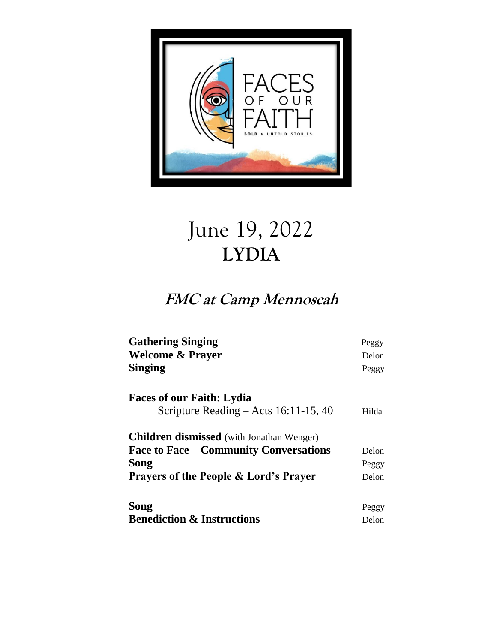

## June 19, 2022 **LYDIA**

## **FMC at Camp Mennoscah**

| <b>Gathering Singing</b><br><b>Welcome &amp; Prayer</b> | Peggy<br>Delon |
|---------------------------------------------------------|----------------|
| <b>Singing</b>                                          | Peggy          |
| <b>Faces of our Faith: Lydia</b>                        |                |
| Scripture Reading – Acts $16:11-15$ , 40                | Hilda          |
| <b>Children dismissed</b> (with Jonathan Wenger)        |                |
| <b>Face to Face – Community Conversations</b>           | Delon          |
| Song                                                    | Peggy          |
| <b>Prayers of the People &amp; Lord's Prayer</b>        | Delon          |
| Song                                                    | Peggy          |
| <b>Benediction &amp; Instructions</b>                   | Delon          |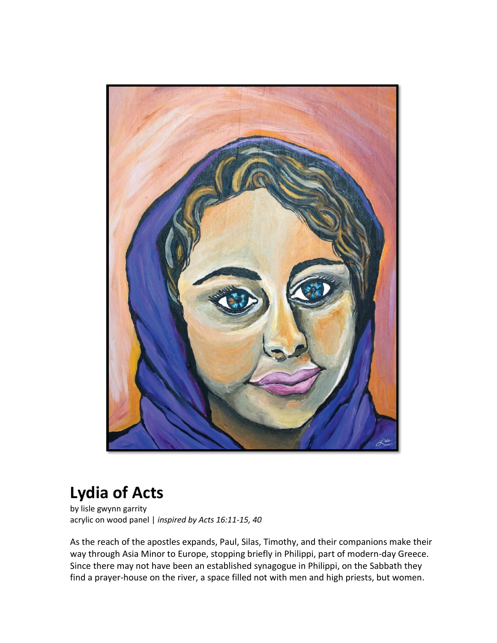

## **Lydia of Acts**

by lisle gwynn garrity acrylic on wood panel | *inspired by Acts 16:11-15, 40*

As the reach of the apostles expands, Paul, Silas, Timothy, and their companions make their way through Asia Minor to Europe, stopping briefly in Philippi, part of modern-day Greece. Since there may not have been an established synagogue in Philippi, on the Sabbath they find a prayer-house on the river, a space filled not with men and high priests, but women.